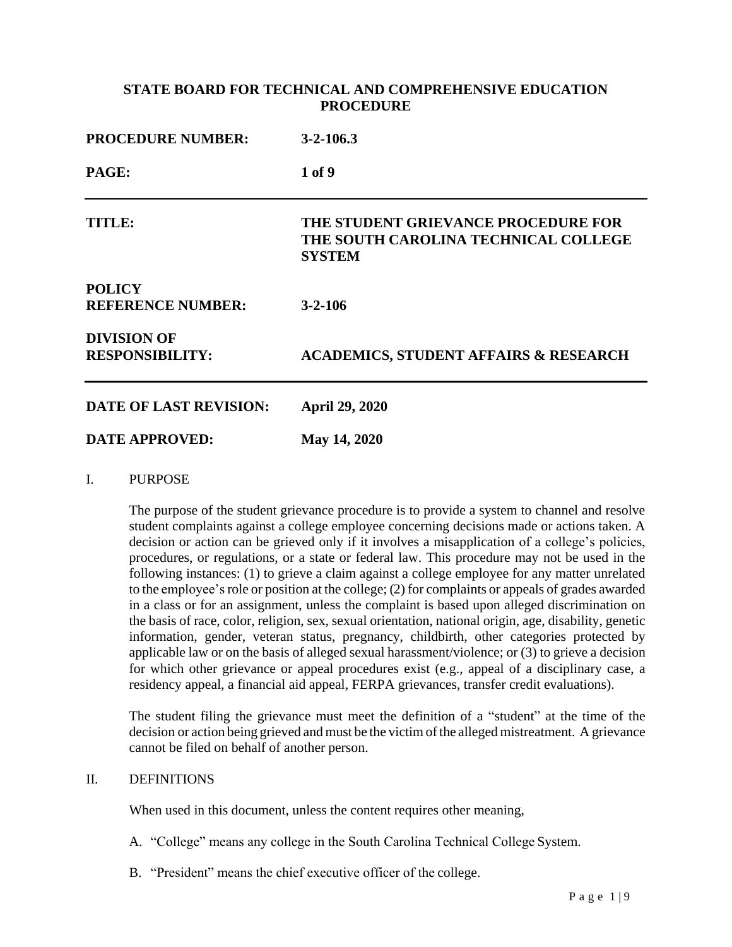## **STATE BOARD FOR TECHNICAL AND COMPREHENSIVE EDUCATION PROCEDURE**

| <b>PROCEDURE NUMBER:</b><br>PAGE:            | $3 - 2 - 106.3$<br>1 of 9                        |
|----------------------------------------------|--------------------------------------------------|
|                                              |                                                  |
| <b>POLICY</b><br><b>REFERENCE NUMBER:</b>    | $3 - 2 - 106$                                    |
| <b>DIVISION OF</b><br><b>RESPONSIBILITY:</b> | <b>ACADEMICS, STUDENT AFFAIRS &amp; RESEARCH</b> |
| <b>DATE OF LAST REVISION:</b>                | <b>April 29, 2020</b>                            |
| <b>DATE APPROVED:</b>                        | May 14, 2020                                     |

I. PURPOSE

The purpose of the student grievance procedure is to provide a system to channel and resolve student complaints against a college employee concerning decisions made or actions taken. A decision or action can be grieved only if it involves a misapplication of a college's policies, procedures, or regulations, or a state or federal law. This procedure may not be used in the following instances: (1) to grieve a claim against a college employee for any matter unrelated to the employee'srole or position at the college; (2) for complaints or appeals of grades awarded in a class or for an assignment, unless the complaint is based upon alleged discrimination on the basis of race, color, religion, sex, sexual orientation, national origin, age, disability, genetic information, gender, veteran status, pregnancy, childbirth, other categories protected by applicable law or on the basis of alleged sexual harassment/violence; or (3) to grieve a decision for which other grievance or appeal procedures exist (e.g., appeal of a disciplinary case, a residency appeal, a financial aid appeal, FERPA grievances, transfer credit evaluations).

The student filing the grievance must meet the definition of a "student" at the time of the decision or action being grieved and must be the victim of the alleged mistreatment. A grievance cannot be filed on behalf of another person.

## II. DEFINITIONS

When used in this document, unless the content requires other meaning,

- A. "College" means any college in the South Carolina Technical College System.
- B. "President" means the chief executive officer of the college.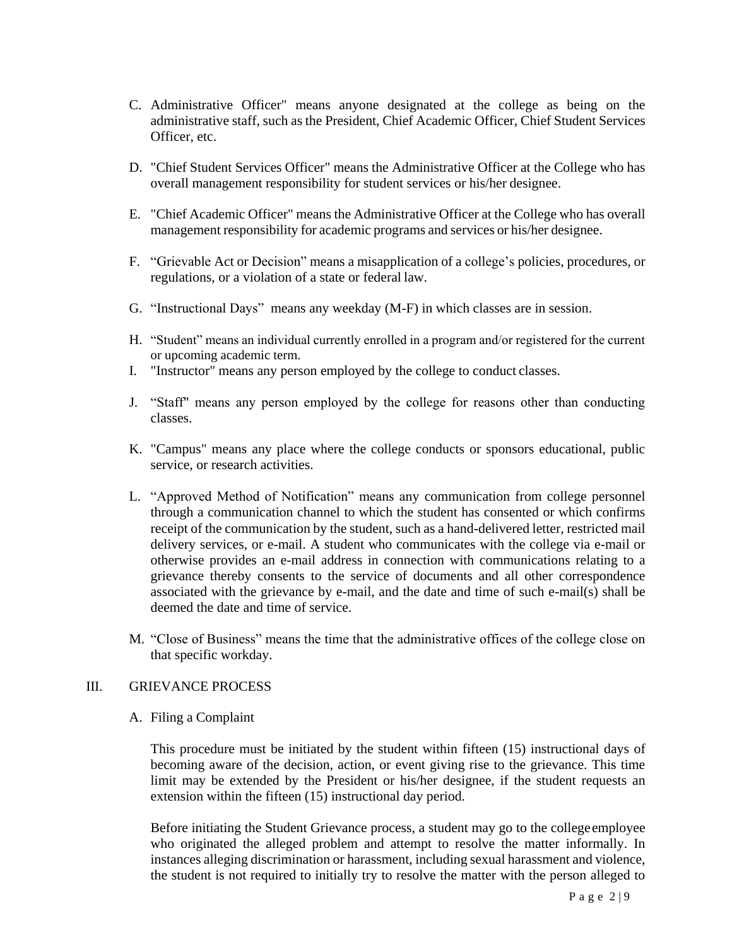- C. Administrative Officer" means anyone designated at the college as being on the administrative staff, such as the President, Chief Academic Officer, Chief Student Services Officer, etc.
- D. "Chief Student Services Officer" means the Administrative Officer at the College who has overall management responsibility for student services or his/her designee.
- E. "Chief Academic Officer" means the Administrative Officer at the College who has overall management responsibility for academic programs and services or his/her designee.
- F. "Grievable Act or Decision" means a misapplication of a college's policies, procedures, or regulations, or a violation of a state or federal law.
- G. "Instructional Days" means any weekday (M-F) in which classes are in session.
- H. "Student" means an individual currently enrolled in a program and/or registered for the current or upcoming academic term.
- I. "Instructor" means any person employed by the college to conduct classes.
- J. "Staff" means any person employed by the college for reasons other than conducting classes.
- K. "Campus" means any place where the college conducts or sponsors educational, public service, or research activities.
- L. "Approved Method of Notification" means any communication from college personnel through a communication channel to which the student has consented or which confirms receipt of the communication by the student, such as a hand-delivered letter, restricted mail delivery services, or e-mail. A student who communicates with the college via e-mail or otherwise provides an e-mail address in connection with communications relating to a grievance thereby consents to the service of documents and all other correspondence associated with the grievance by e-mail, and the date and time of such e-mail(s) shall be deemed the date and time of service.
- M. "Close of Business" means the time that the administrative offices of the college close on that specific workday.

## III. GRIEVANCE PROCESS

A. Filing a Complaint

This procedure must be initiated by the student within fifteen (15) instructional days of becoming aware of the decision, action, or event giving rise to the grievance. This time limit may be extended by the President or his/her designee, if the student requests an extension within the fifteen (15) instructional day period.

Before initiating the Student Grievance process, a student may go to the college employee who originated the alleged problem and attempt to resolve the matter informally. In instances alleging discrimination or harassment, including sexual harassment and violence, the student is not required to initially try to resolve the matter with the person alleged to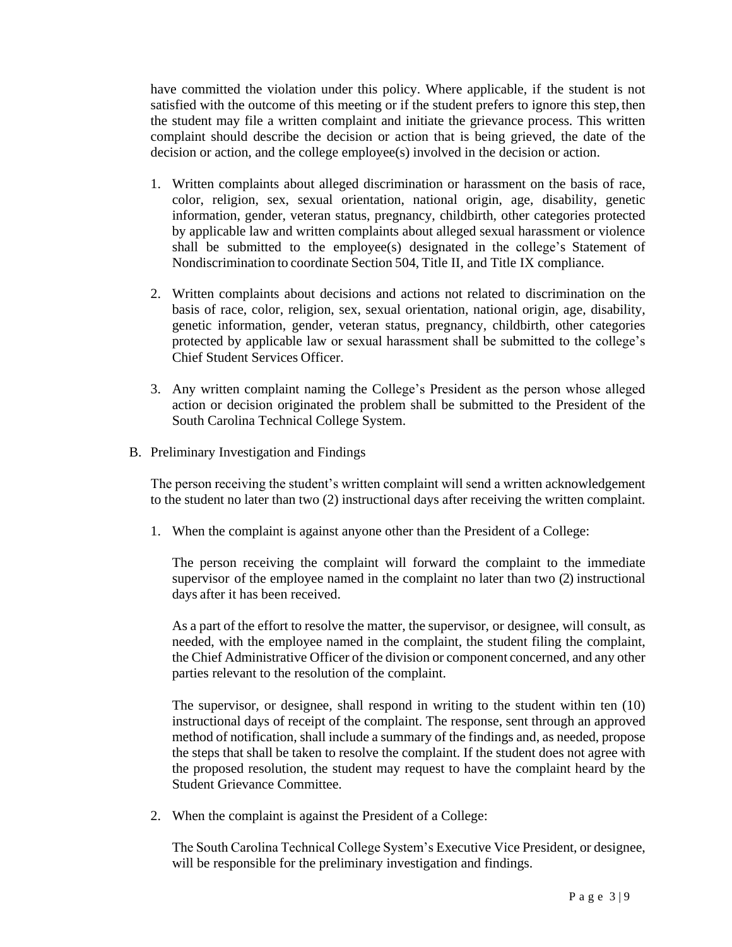have committed the violation under this policy. Where applicable, if the student is not satisfied with the outcome of this meeting or if the student prefers to ignore this step, then the student may file a written complaint and initiate the grievance process. This written complaint should describe the decision or action that is being grieved, the date of the decision or action, and the college employee(s) involved in the decision or action.

- 1. Written complaints about alleged discrimination or harassment on the basis of race, color, religion, sex, sexual orientation, national origin, age, disability, genetic information, gender, veteran status, pregnancy, childbirth, other categories protected by applicable law and written complaints about alleged sexual harassment or violence shall be submitted to the employee(s) designated in the college's Statement of Nondiscrimination to coordinate Section 504, Title II, and Title IX compliance.
- 2. Written complaints about decisions and actions not related to discrimination on the basis of race, color, religion, sex, sexual orientation, national origin, age, disability, genetic information, gender, veteran status, pregnancy, childbirth, other categories protected by applicable law or sexual harassment shall be submitted to the college's Chief Student Services Officer.
- 3. Any written complaint naming the College's President as the person whose alleged action or decision originated the problem shall be submitted to the President of the South Carolina Technical College System.
- B. Preliminary Investigation and Findings

The person receiving the student's written complaint will send a written acknowledgement to the student no later than two (2) instructional days after receiving the written complaint.

1. When the complaint is against anyone other than the President of a College:

The person receiving the complaint will forward the complaint to the immediate supervisor of the employee named in the complaint no later than two (2) instructional days after it has been received.

As a part of the effort to resolve the matter, the supervisor, or designee, will consult, as needed, with the employee named in the complaint, the student filing the complaint, the Chief Administrative Officer of the division or component concerned, and any other parties relevant to the resolution of the complaint.

The supervisor, or designee, shall respond in writing to the student within ten (10) instructional days of receipt of the complaint. The response, sent through an approved method of notification, shall include a summary of the findings and, as needed, propose the steps that shall be taken to resolve the complaint. If the student does not agree with the proposed resolution, the student may request to have the complaint heard by the Student Grievance Committee.

2. When the complaint is against the President of a College:

The South Carolina Technical College System's Executive Vice President, or designee, will be responsible for the preliminary investigation and findings.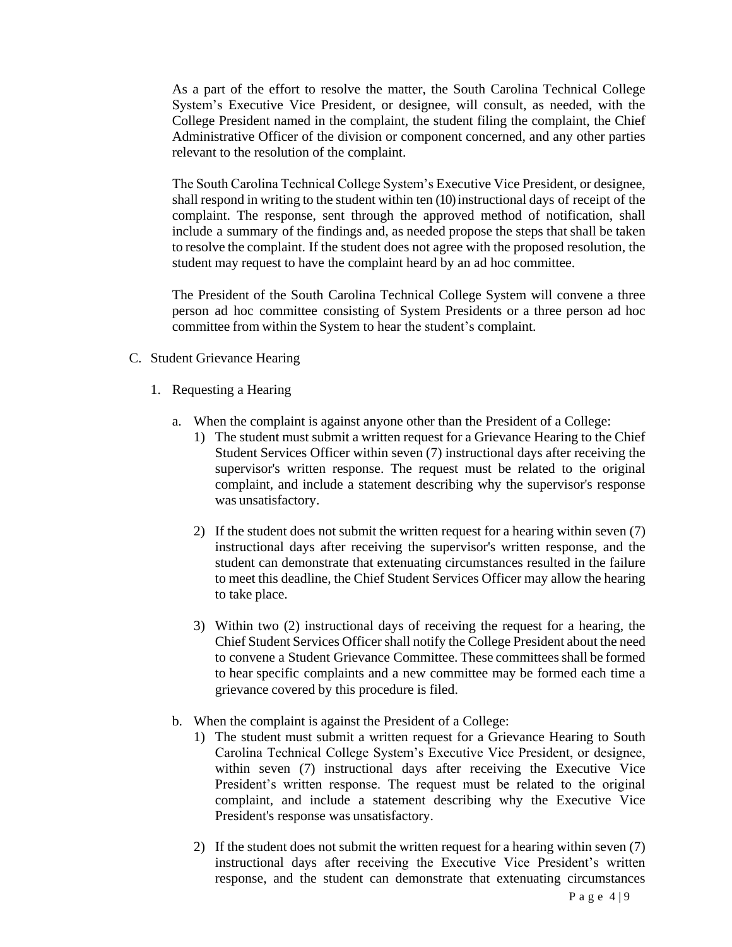As a part of the effort to resolve the matter, the South Carolina Technical College System's Executive Vice President, or designee, will consult, as needed, with the College President named in the complaint, the student filing the complaint, the Chief Administrative Officer of the division or component concerned, and any other parties relevant to the resolution of the complaint.

The South Carolina Technical College System's Executive Vice President, or designee, shall respond in writing to the student within ten (10) instructional days of receipt of the complaint. The response, sent through the approved method of notification, shall include a summary of the findings and, as needed propose the steps that shall be taken to resolve the complaint. If the student does not agree with the proposed resolution, the student may request to have the complaint heard by an ad hoc committee.

The President of the South Carolina Technical College System will convene a three person ad hoc committee consisting of System Presidents or a three person ad hoc committee from within the System to hear the student's complaint.

- C. Student Grievance Hearing
	- 1. Requesting a Hearing
		- a. When the complaint is against anyone other than the President of a College:
			- 1) The student must submit a written request for a Grievance Hearing to the Chief Student Services Officer within seven (7) instructional days after receiving the supervisor's written response. The request must be related to the original complaint, and include a statement describing why the supervisor's response was unsatisfactory.
			- 2) If the student does not submit the written request for a hearing within seven (7) instructional days after receiving the supervisor's written response, and the student can demonstrate that extenuating circumstances resulted in the failure to meet this deadline, the Chief Student Services Officer may allow the hearing to take place.
			- 3) Within two (2) instructional days of receiving the request for a hearing, the Chief Student Services Officer shall notify the College President about the need to convene a Student Grievance Committee. These committeesshall be formed to hear specific complaints and a new committee may be formed each time a grievance covered by this procedure is filed.
		- b. When the complaint is against the President of a College:
			- 1) The student must submit a written request for a Grievance Hearing to South Carolina Technical College System's Executive Vice President, or designee, within seven (7) instructional days after receiving the Executive Vice President's written response. The request must be related to the original complaint, and include a statement describing why the Executive Vice President's response was unsatisfactory.
			- 2) If the student does not submit the written request for a hearing within seven (7) instructional days after receiving the Executive Vice President's written response, and the student can demonstrate that extenuating circumstances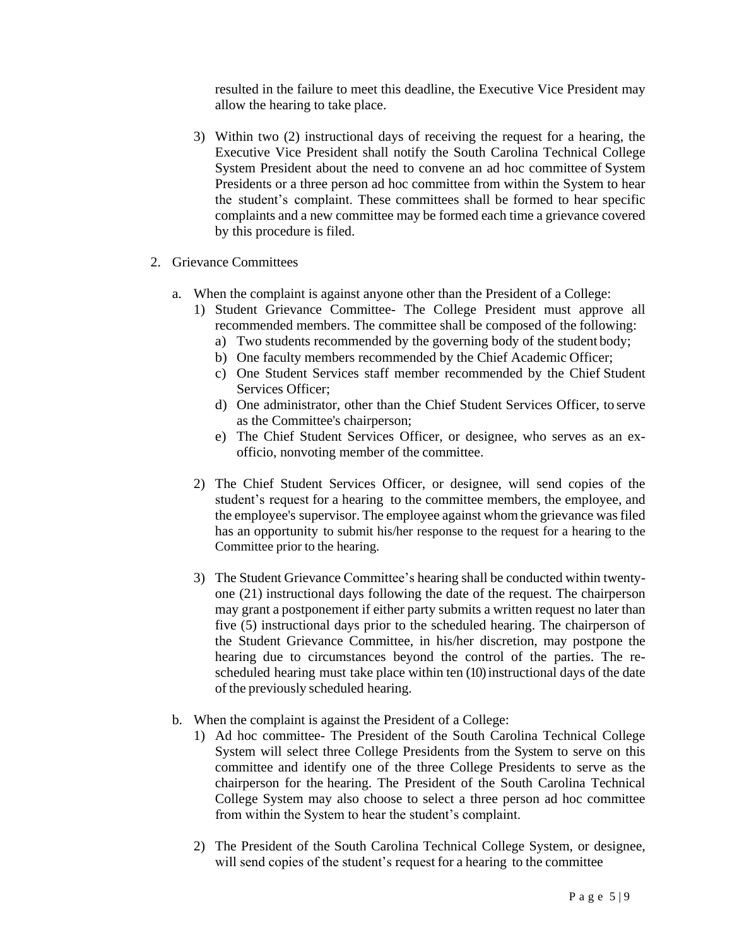resulted in the failure to meet this deadline, the Executive Vice President may allow the hearing to take place.

- 3) Within two (2) instructional days of receiving the request for a hearing, the Executive Vice President shall notify the South Carolina Technical College System President about the need to convene an ad hoc committee of System Presidents or a three person ad hoc committee from within the System to hear the student's complaint. These committees shall be formed to hear specific complaints and a new committee may be formed each time a grievance covered by this procedure is filed.
- 2. Grievance Committees
	- a. When the complaint is against anyone other than the President of a College:
		- 1) Student Grievance Committee- The College President must approve all recommended members. The committee shall be composed of the following:
			- a) Two students recommended by the governing body of the student body;
			- b) One faculty members recommended by the Chief Academic Officer;
			- c) One Student Services staff member recommended by the Chief Student Services Officer;
			- d) One administrator, other than the Chief Student Services Officer, to serve as the Committee's chairperson;
			- e) The Chief Student Services Officer, or designee, who serves as an exofficio, nonvoting member of the committee.
		- 2) The Chief Student Services Officer, or designee, will send copies of the student's request for a hearing to the committee members, the employee, and the employee's supervisor. The employee against whom the grievance wasfiled has an opportunity to submit his/her response to the request for a hearing to the Committee prior to the hearing.
		- 3) The Student Grievance Committee's hearing shall be conducted within twentyone (21) instructional days following the date of the request. The chairperson may grant a postponement if either party submits a written request no later than five (5) instructional days prior to the scheduled hearing. The chairperson of the Student Grievance Committee, in his/her discretion, may postpone the hearing due to circumstances beyond the control of the parties. The rescheduled hearing must take place within ten (10) instructional days of the date of the previously scheduled hearing.
	- b. When the complaint is against the President of a College:
		- 1) Ad hoc committee- The President of the South Carolina Technical College System will select three College Presidents from the System to serve on this committee and identify one of the three College Presidents to serve as the chairperson for the hearing. The President of the South Carolina Technical College System may also choose to select a three person ad hoc committee from within the System to hear the student's complaint.
		- 2) The President of the South Carolina Technical College System, or designee, will send copies of the student's request for a hearing to the committee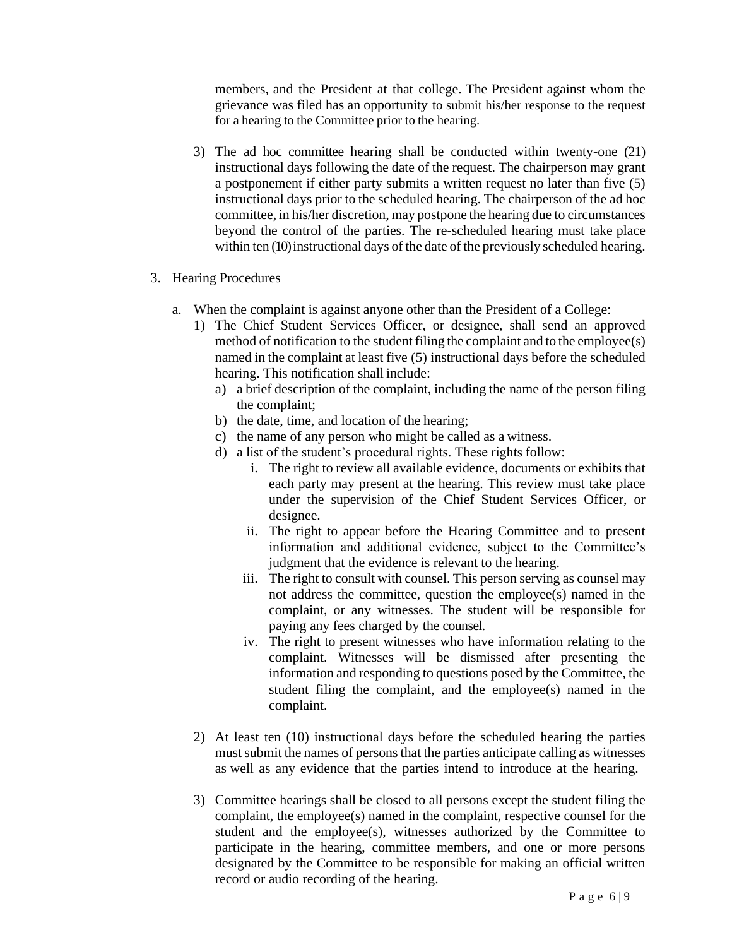members, and the President at that college. The President against whom the grievance was filed has an opportunity to submit his/her response to the request for a hearing to the Committee prior to the hearing.

- 3) The ad hoc committee hearing shall be conducted within twenty-one (21) instructional days following the date of the request. The chairperson may grant a postponement if either party submits a written request no later than five (5) instructional days prior to the scheduled hearing. The chairperson of the ad hoc committee, in his/her discretion, may postpone the hearing due to circumstances beyond the control of the parties. The re-scheduled hearing must take place within ten (10) instructional days of the date of the previously scheduled hearing.
- 3. Hearing Procedures
	- a. When the complaint is against anyone other than the President of a College:
		- 1) The Chief Student Services Officer, or designee, shall send an approved method of notification to the student filing the complaint and to the employee(s) named in the complaint at least five (5) instructional days before the scheduled hearing. This notification shall include:
			- a) a brief description of the complaint, including the name of the person filing the complaint;
			- b) the date, time, and location of the hearing;
			- c) the name of any person who might be called as a witness.
			- d) a list of the student's procedural rights. These rights follow:
				- i. The right to review all available evidence, documents or exhibits that each party may present at the hearing. This review must take place under the supervision of the Chief Student Services Officer, or designee.
				- ii. The right to appear before the Hearing Committee and to present information and additional evidence, subject to the Committee's judgment that the evidence is relevant to the hearing.
				- iii. The right to consult with counsel. This person serving as counsel may not address the committee, question the employee(s) named in the complaint, or any witnesses. The student will be responsible for paying any fees charged by the counsel.
				- iv. The right to present witnesses who have information relating to the complaint. Witnesses will be dismissed after presenting the information and responding to questions posed by the Committee, the student filing the complaint, and the employee(s) named in the complaint.
		- 2) At least ten (10) instructional days before the scheduled hearing the parties must submit the names of persons that the parties anticipate calling as witnesses as well as any evidence that the parties intend to introduce at the hearing.
		- 3) Committee hearings shall be closed to all persons except the student filing the complaint, the employee(s) named in the complaint, respective counsel for the student and the employee(s), witnesses authorized by the Committee to participate in the hearing, committee members, and one or more persons designated by the Committee to be responsible for making an official written record or audio recording of the hearing.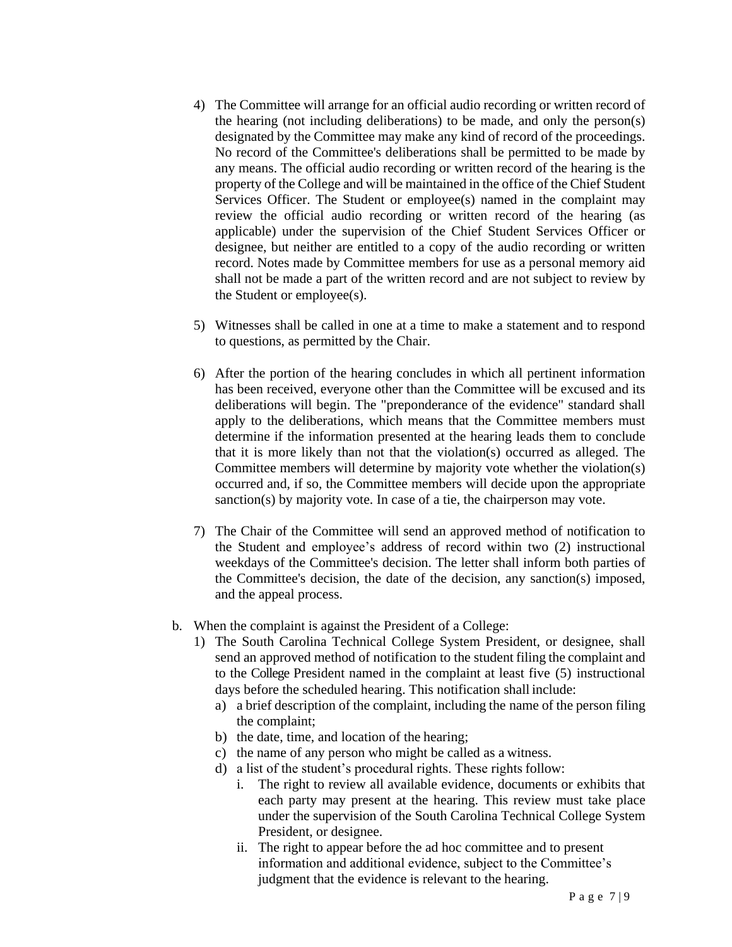- 4) The Committee will arrange for an official audio recording or written record of the hearing (not including deliberations) to be made, and only the person(s) designated by the Committee may make any kind of record of the proceedings. No record of the Committee's deliberations shall be permitted to be made by any means. The official audio recording or written record of the hearing is the property of the College and will be maintained in the office of the Chief Student Services Officer. The Student or employee(s) named in the complaint may review the official audio recording or written record of the hearing (as applicable) under the supervision of the Chief Student Services Officer or designee, but neither are entitled to a copy of the audio recording or written record. Notes made by Committee members for use as a personal memory aid shall not be made a part of the written record and are not subject to review by the Student or employee(s).
- 5) Witnesses shall be called in one at a time to make a statement and to respond to questions, as permitted by the Chair.
- 6) After the portion of the hearing concludes in which all pertinent information has been received, everyone other than the Committee will be excused and its deliberations will begin. The "preponderance of the evidence" standard shall apply to the deliberations, which means that the Committee members must determine if the information presented at the hearing leads them to conclude that it is more likely than not that the violation(s) occurred as alleged. The Committee members will determine by majority vote whether the violation(s) occurred and, if so, the Committee members will decide upon the appropriate sanction(s) by majority vote. In case of a tie, the chairperson may vote.
- 7) The Chair of the Committee will send an approved method of notification to the Student and employee's address of record within two (2) instructional weekdays of the Committee's decision. The letter shall inform both parties of the Committee's decision, the date of the decision, any sanction(s) imposed, and the appeal process.
- b. When the complaint is against the President of a College:
	- 1) The South Carolina Technical College System President, or designee, shall send an approved method of notification to the student filing the complaint and to the College President named in the complaint at least five (5) instructional days before the scheduled hearing. This notification shall include:
		- a) a brief description of the complaint, including the name of the person filing the complaint;
		- b) the date, time, and location of the hearing;
		- c) the name of any person who might be called as a witness.
		- d) a list of the student's procedural rights. These rights follow:
			- i. The right to review all available evidence, documents or exhibits that each party may present at the hearing. This review must take place under the supervision of the South Carolina Technical College System President, or designee.
			- ii. The right to appear before the ad hoc committee and to present information and additional evidence, subject to the Committee's judgment that the evidence is relevant to the hearing.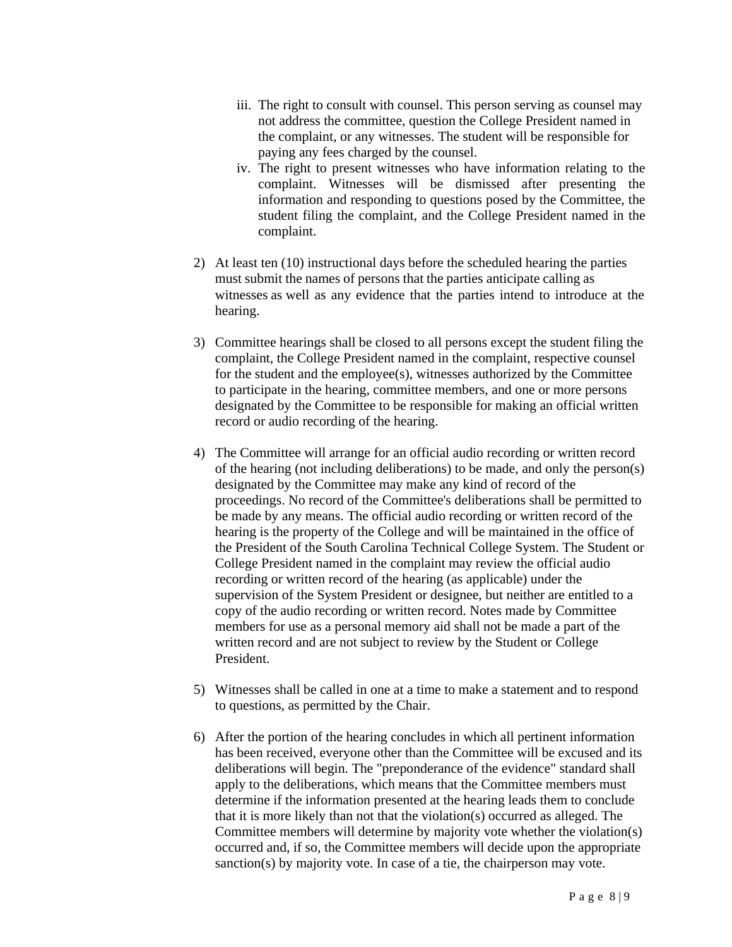- iii. The right to consult with counsel. This person serving as counsel may not address the committee, question the College President named in the complaint, or any witnesses. The student will be responsible for paying any fees charged by the counsel.
- iv. The right to present witnesses who have information relating to the complaint. Witnesses will be dismissed after presenting the information and responding to questions posed by the Committee, the student filing the complaint, and the College President named in the complaint.
- 2) At least ten (10) instructional days before the scheduled hearing the parties must submit the names of persons that the parties anticipate calling as witnesses as well as any evidence that the parties intend to introduce at the hearing.
- 3) Committee hearings shall be closed to all persons except the student filing the complaint, the College President named in the complaint, respective counsel for the student and the employee(s), witnesses authorized by the Committee to participate in the hearing, committee members, and one or more persons designated by the Committee to be responsible for making an official written record or audio recording of the hearing.
- 4) The Committee will arrange for an official audio recording or written record of the hearing (not including deliberations) to be made, and only the person(s) designated by the Committee may make any kind of record of the proceedings. No record of the Committee's deliberations shall be permitted to be made by any means. The official audio recording or written record of the hearing is the property of the College and will be maintained in the office of the President of the South Carolina Technical College System. The Student or College President named in the complaint may review the official audio recording or written record of the hearing (as applicable) under the supervision of the System President or designee, but neither are entitled to a copy of the audio recording or written record. Notes made by Committee members for use as a personal memory aid shall not be made a part of the written record and are not subject to review by the Student or College President.
- 5) Witnesses shall be called in one at a time to make a statement and to respond to questions, as permitted by the Chair.
- 6) After the portion of the hearing concludes in which all pertinent information has been received, everyone other than the Committee will be excused and its deliberations will begin. The "preponderance of the evidence" standard shall apply to the deliberations, which means that the Committee members must determine if the information presented at the hearing leads them to conclude that it is more likely than not that the violation(s) occurred as alleged. The Committee members will determine by majority vote whether the violation(s) occurred and, if so, the Committee members will decide upon the appropriate sanction(s) by majority vote. In case of a tie, the chairperson may vote.